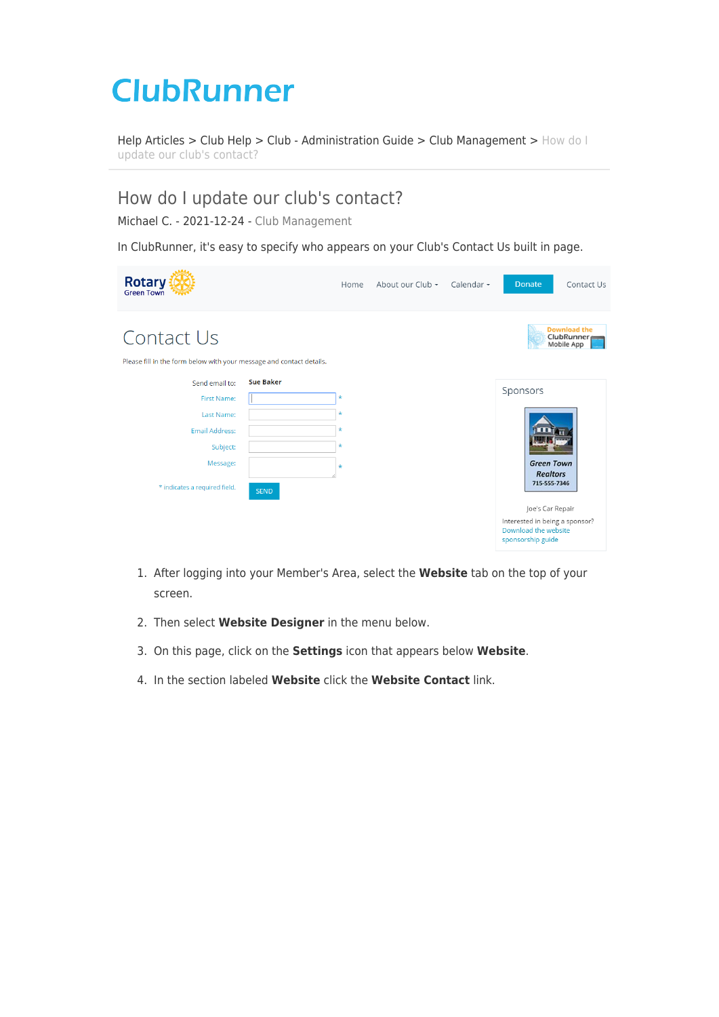# **ClubRunner**

[Help Articles](https://www.clubrunnersupport.com/kb) > [Club Help](https://www.clubrunnersupport.com/kb/club-help) > [Club - Administration Guide](https://www.clubrunnersupport.com/kb/club-administration-guide) > [Club Management](https://www.clubrunnersupport.com/kb/club-management) > [How do I](https://www.clubrunnersupport.com/kb/articles/how-do-i-update-our-club-s-contact) [update our club's contact?](https://www.clubrunnersupport.com/kb/articles/how-do-i-update-our-club-s-contact)

## How do I update our club's contact?

Michael C. - 2021-12-24 - [Club Management](https://www.clubrunnersupport.com/kb/club-management)

In ClubRunner, it's easy to specify who appears on your Club's Contact Us built in page.



- 1. After logging into your Member's Area, select the **Website** tab on the top of your screen.
- 2. Then select **Website Designer** in the menu below.
- 3. On this page, click on the **Settings** icon that appears below **Website**.
- 4. In the section labeled **Website** click the **Website Contact** link.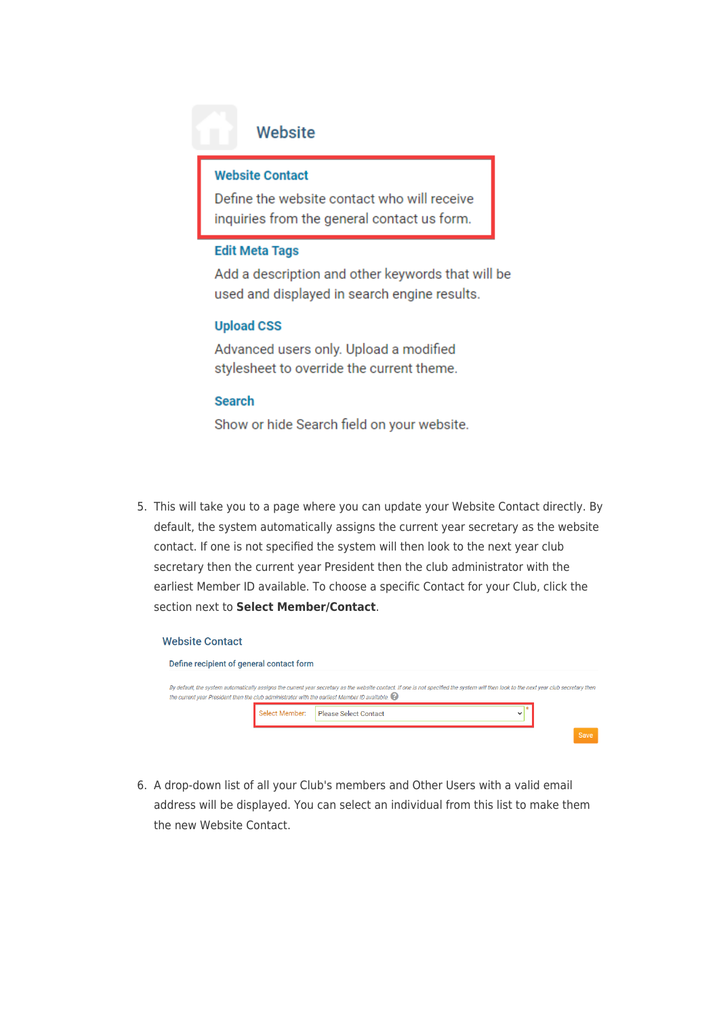### Website

#### **Website Contact**

Define the website contact who will receive inquiries from the general contact us form.

#### **Edit Meta Tags**

Add a description and other keywords that will be used and displayed in search engine results.

#### **Upload CSS**

Advanced users only. Upload a modified stylesheet to override the current theme.

#### **Search**

Show or hide Search field on your website.

5. This will take you to a page where you can update your Website Contact directly. By default, the system automatically assigns the current year secretary as the website contact. If one is not specified the system will then look to the next year club secretary then the current year President then the club administrator with the earliest Member ID available. To choose a specific Contact for your Club, click the section next to Select Member/Contact.

#### **Website Contact**

| Define recipient of general contact form                                                      |                       |                                                                                                                                                                                        |      |
|-----------------------------------------------------------------------------------------------|-----------------------|----------------------------------------------------------------------------------------------------------------------------------------------------------------------------------------|------|
| the current year President then the club administrator with the earliest Member ID available. |                       | By default, the system automatically assigns the current year secretary as the website contact. If one is not specified the system will then look to the next year club secretary then |      |
|                                                                                               | <b>Select Member:</b> | <b>Please Select Contact</b>                                                                                                                                                           |      |
|                                                                                               |                       |                                                                                                                                                                                        | Save |

6. A drop-down list of all your Club's members and Other Users with a valid email address will be displayed. You can select an individual from this list to make them the new Website Contact